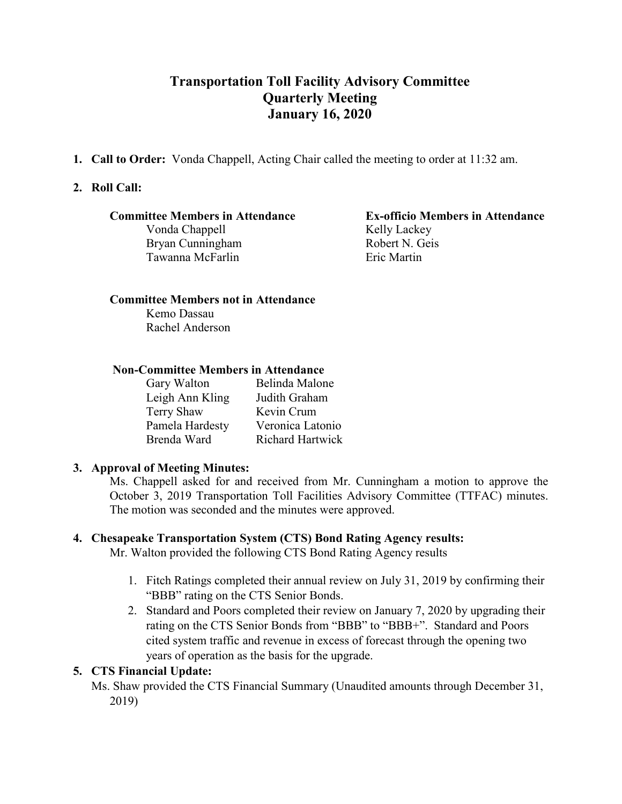# **Transportation Toll Facility Advisory Committee Quarterly Meeting January 16, 2020**

**1. Call to Order:** Vonda Chappell, Acting Chair called the meeting to order at 11:32 am.

# **2. Roll Call:**

Vonda Chappell Kelly Lackey<br>Brvan Cunningham Robert N. Geis Bryan Cunningham Tawanna McFarlin **Exercise Exercise Exercise** Eric Martin

# **Committee Members in Attendance Ex-officio Members in Attendance**

# **Committee Members not in Attendance**

Kemo Dassau Rachel Anderson

#### **Non-Committee Members in Attendance**

| Gary Walton     | Belinda Malone          |
|-----------------|-------------------------|
| Leigh Ann Kling | Judith Graham           |
| Terry Shaw      | Kevin Crum              |
| Pamela Hardesty | Veronica Latonio        |
| Brenda Ward     | <b>Richard Hartwick</b> |
|                 |                         |

#### **3. Approval of Meeting Minutes:**

Ms. Chappell asked for and received from Mr. Cunningham a motion to approve the October 3, 2019 Transportation Toll Facilities Advisory Committee (TTFAC) minutes. The motion was seconded and the minutes were approved.

# **4. Chesapeake Transportation System (CTS) Bond Rating Agency results:**

Mr. Walton provided the following CTS Bond Rating Agency results

- 1. Fitch Ratings completed their annual review on July 31, 2019 by confirming their "BBB" rating on the CTS Senior Bonds.
- 2. Standard and Poors completed their review on January 7, 2020 by upgrading their rating on the CTS Senior Bonds from "BBB" to "BBB+". Standard and Poors cited system traffic and revenue in excess of forecast through the opening two years of operation as the basis for the upgrade.

#### **5. CTS Financial Update:**

Ms. Shaw provided the CTS Financial Summary (Unaudited amounts through December 31, 2019)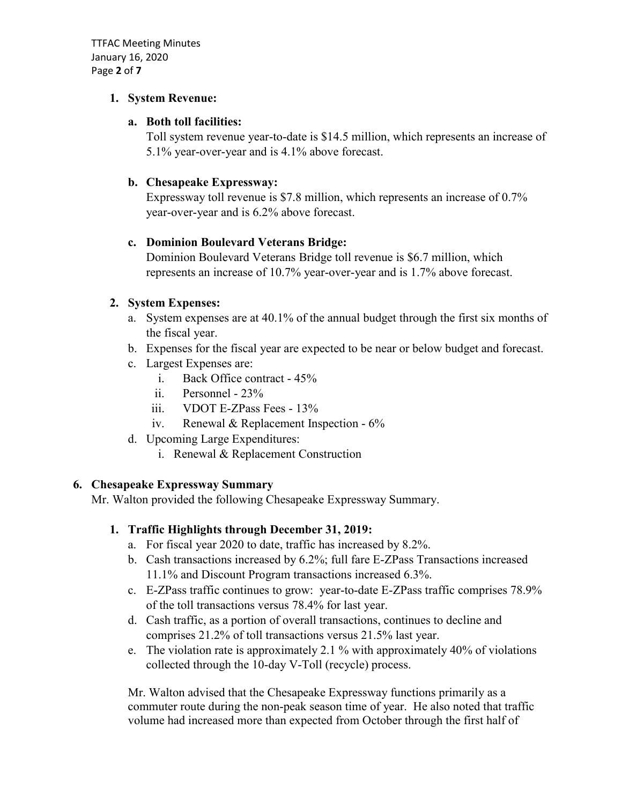TTFAC Meeting Minutes January 16, 2020 Page **2** of **7**

#### **1. System Revenue:**

# **a. Both toll facilities:**

Toll system revenue year-to-date is \$14.5 million, which represents an increase of 5.1% year-over-year and is 4.1% above forecast.

# **b. Chesapeake Expressway:**

Expressway toll revenue is \$7.8 million, which represents an increase of 0.7% year-over-year and is 6.2% above forecast.

# **c. Dominion Boulevard Veterans Bridge:**

Dominion Boulevard Veterans Bridge toll revenue is \$6.7 million, which represents an increase of 10.7% year-over-year and is 1.7% above forecast.

# **2. System Expenses:**

- a. System expenses are at 40.1% of the annual budget through the first six months of the fiscal year.
- b. Expenses for the fiscal year are expected to be near or below budget and forecast.
- c. Largest Expenses are:
	- i. Back Office contract 45%
	- ii. Personnel 23%
	- iii. VDOT E-ZPass Fees 13%
	- iv. Renewal & Replacement Inspection 6%
- d. Upcoming Large Expenditures:
	- i. Renewal & Replacement Construction

# **6. Chesapeake Expressway Summary**

Mr. Walton provided the following Chesapeake Expressway Summary.

# **1. Traffic Highlights through December 31, 2019:**

- a. For fiscal year 2020 to date, traffic has increased by 8.2%.
- b. Cash transactions increased by 6.2%; full fare E-ZPass Transactions increased 11.1% and Discount Program transactions increased 6.3%.
- c. E-ZPass traffic continues to grow: year-to-date E-ZPass traffic comprises 78.9% of the toll transactions versus 78.4% for last year.
- d. Cash traffic, as a portion of overall transactions, continues to decline and comprises 21.2% of toll transactions versus 21.5% last year.
- e. The violation rate is approximately 2.1 % with approximately 40% of violations collected through the 10-day V-Toll (recycle) process.

Mr. Walton advised that the Chesapeake Expressway functions primarily as a commuter route during the non-peak season time of year. He also noted that traffic volume had increased more than expected from October through the first half of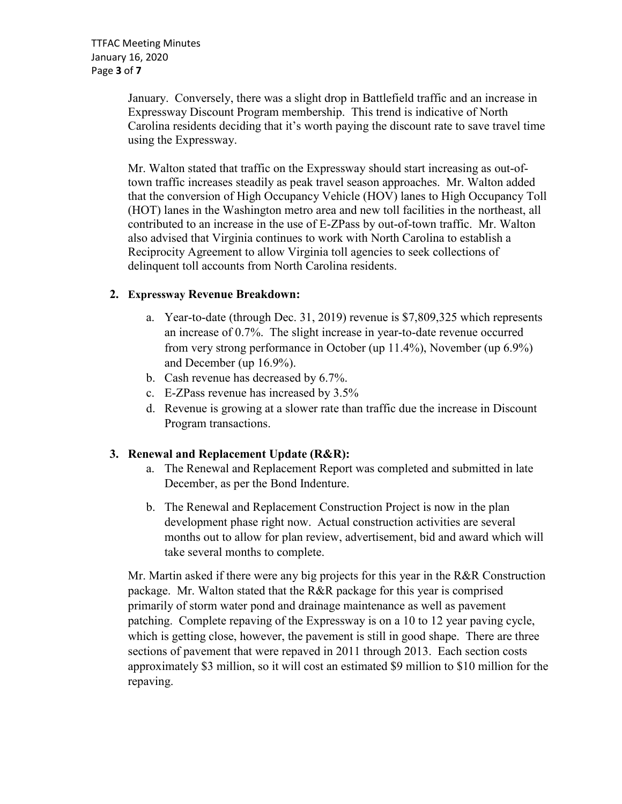January. Conversely, there was a slight drop in Battlefield traffic and an increase in Expressway Discount Program membership. This trend is indicative of North Carolina residents deciding that it's worth paying the discount rate to save travel time using the Expressway.

Mr. Walton stated that traffic on the Expressway should start increasing as out-oftown traffic increases steadily as peak travel season approaches. Mr. Walton added that the conversion of High Occupancy Vehicle (HOV) lanes to High Occupancy Toll (HOT) lanes in the Washington metro area and new toll facilities in the northeast, all contributed to an increase in the use of E-ZPass by out-of-town traffic. Mr. Walton also advised that Virginia continues to work with North Carolina to establish a Reciprocity Agreement to allow Virginia toll agencies to seek collections of delinquent toll accounts from North Carolina residents.

# **2. Expressway Revenue Breakdown:**

- a. Year-to-date (through Dec. 31, 2019) revenue is \$7,809,325 which represents an increase of 0.7%. The slight increase in year-to-date revenue occurred from very strong performance in October (up 11.4%), November (up 6.9%) and December (up 16.9%).
- b. Cash revenue has decreased by 6.7%.
- c. E-ZPass revenue has increased by 3.5%
- d. Revenue is growing at a slower rate than traffic due the increase in Discount Program transactions.

# **3. Renewal and Replacement Update (R&R):**

- a. The Renewal and Replacement Report was completed and submitted in late December, as per the Bond Indenture.
- b. The Renewal and Replacement Construction Project is now in the plan development phase right now. Actual construction activities are several months out to allow for plan review, advertisement, bid and award which will take several months to complete.

Mr. Martin asked if there were any big projects for this year in the R&R Construction package. Mr. Walton stated that the R&R package for this year is comprised primarily of storm water pond and drainage maintenance as well as pavement patching. Complete repaving of the Expressway is on a 10 to 12 year paving cycle, which is getting close, however, the pavement is still in good shape. There are three sections of pavement that were repaved in 2011 through 2013. Each section costs approximately \$3 million, so it will cost an estimated \$9 million to \$10 million for the repaving.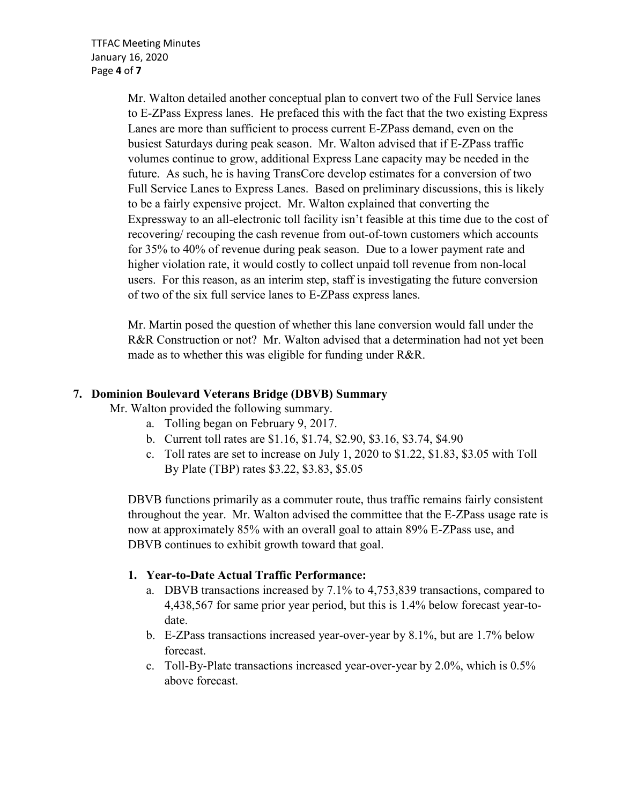Mr. Walton detailed another conceptual plan to convert two of the Full Service lanes to E-ZPass Express lanes. He prefaced this with the fact that the two existing Express Lanes are more than sufficient to process current E-ZPass demand, even on the busiest Saturdays during peak season. Mr. Walton advised that if E-ZPass traffic volumes continue to grow, additional Express Lane capacity may be needed in the future. As such, he is having TransCore develop estimates for a conversion of two Full Service Lanes to Express Lanes. Based on preliminary discussions, this is likely to be a fairly expensive project. Mr. Walton explained that converting the Expressway to an all-electronic toll facility isn't feasible at this time due to the cost of recovering/ recouping the cash revenue from out-of-town customers which accounts for 35% to 40% of revenue during peak season. Due to a lower payment rate and higher violation rate, it would costly to collect unpaid toll revenue from non-local users. For this reason, as an interim step, staff is investigating the future conversion of two of the six full service lanes to E-ZPass express lanes.

Mr. Martin posed the question of whether this lane conversion would fall under the R&R Construction or not? Mr. Walton advised that a determination had not yet been made as to whether this was eligible for funding under R&R.

# **7. Dominion Boulevard Veterans Bridge (DBVB) Summary**

Mr. Walton provided the following summary.

- a. Tolling began on February 9, 2017.
- b. Current toll rates are \$1.16, \$1.74, \$2.90, \$3.16, \$3.74, \$4.90
- c. Toll rates are set to increase on July 1, 2020 to \$1.22, \$1.83, \$3.05 with Toll By Plate (TBP) rates \$3.22, \$3.83, \$5.05

DBVB functions primarily as a commuter route, thus traffic remains fairly consistent throughout the year. Mr. Walton advised the committee that the E-ZPass usage rate is now at approximately 85% with an overall goal to attain 89% E-ZPass use, and DBVB continues to exhibit growth toward that goal.

# **1. Year-to-Date Actual Traffic Performance:**

- a. DBVB transactions increased by 7.1% to 4,753,839 transactions, compared to 4,438,567 for same prior year period, but this is 1.4% below forecast year-todate.
- b. E-ZPass transactions increased year-over-year by 8.1%, but are 1.7% below forecast.
- c. Toll-By-Plate transactions increased year-over-year by 2.0%, which is 0.5% above forecast.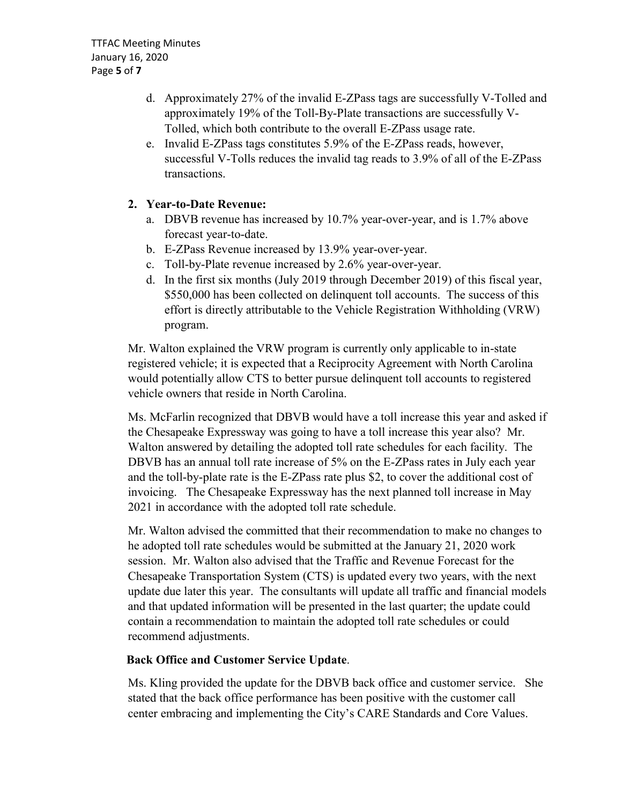- d. Approximately 27% of the invalid E-ZPass tags are successfully V-Tolled and approximately 19% of the Toll-By-Plate transactions are successfully V-Tolled, which both contribute to the overall E-ZPass usage rate.
- e. Invalid E-ZPass tags constitutes 5.9% of the E-ZPass reads, however, successful V-Tolls reduces the invalid tag reads to 3.9% of all of the E-ZPass transactions.

# **2. Year-to-Date Revenue:**

- a. DBVB revenue has increased by 10.7% year-over-year, and is 1.7% above forecast year-to-date.
- b. E-ZPass Revenue increased by 13.9% year-over-year.
- c. Toll-by-Plate revenue increased by 2.6% year-over-year.
- d. In the first six months (July 2019 through December 2019) of this fiscal year, \$550,000 has been collected on delinquent toll accounts. The success of this effort is directly attributable to the Vehicle Registration Withholding (VRW) program.

Mr. Walton explained the VRW program is currently only applicable to in-state registered vehicle; it is expected that a Reciprocity Agreement with North Carolina would potentially allow CTS to better pursue delinquent toll accounts to registered vehicle owners that reside in North Carolina.

Ms. McFarlin recognized that DBVB would have a toll increase this year and asked if the Chesapeake Expressway was going to have a toll increase this year also? Mr. Walton answered by detailing the adopted toll rate schedules for each facility. The DBVB has an annual toll rate increase of 5% on the E-ZPass rates in July each year and the toll-by-plate rate is the E-ZPass rate plus \$2, to cover the additional cost of invoicing. The Chesapeake Expressway has the next planned toll increase in May 2021 in accordance with the adopted toll rate schedule.

 Mr. Walton advised the committed that their recommendation to make no changes to he adopted toll rate schedules would be submitted at the January 21, 2020 work session. Mr. Walton also advised that the Traffic and Revenue Forecast for the Chesapeake Transportation System (CTS) is updated every two years, with the next update due later this year. The consultants will update all traffic and financial models and that updated information will be presented in the last quarter; the update could contain a recommendation to maintain the adopted toll rate schedules or could recommend adjustments.

# **Back Office and Customer Service Update**.

 Ms. Kling provided the update for the DBVB back office and customer service. She stated that the back office performance has been positive with the customer call center embracing and implementing the City's CARE Standards and Core Values.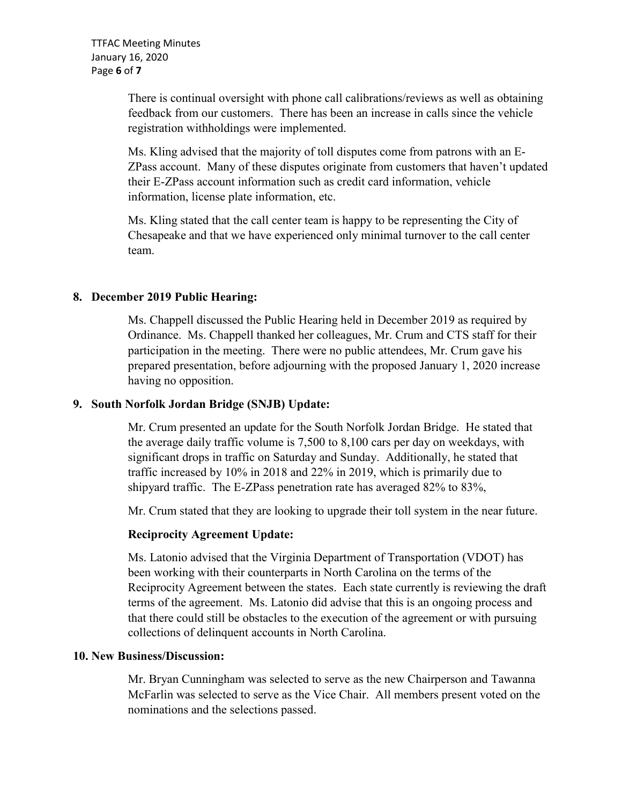There is continual oversight with phone call calibrations/reviews as well as obtaining feedback from our customers. There has been an increase in calls since the vehicle registration withholdings were implemented.

 Ms. Kling advised that the majority of toll disputes come from patrons with an E-ZPass account. Many of these disputes originate from customers that haven't updated their E-ZPass account information such as credit card information, vehicle information, license plate information, etc.

 Ms. Kling stated that the call center team is happy to be representing the City of Chesapeake and that we have experienced only minimal turnover to the call center team.

# **8. December 2019 Public Hearing:**

 Ms. Chappell discussed the Public Hearing held in December 2019 as required by Ordinance. Ms. Chappell thanked her colleagues, Mr. Crum and CTS staff for their participation in the meeting. There were no public attendees, Mr. Crum gave his prepared presentation, before adjourning with the proposed January 1, 2020 increase having no opposition.

#### **9. South Norfolk Jordan Bridge (SNJB) Update:**

 Mr. Crum presented an update for the South Norfolk Jordan Bridge. He stated that the average daily traffic volume is 7,500 to 8,100 cars per day on weekdays, with significant drops in traffic on Saturday and Sunday. Additionally, he stated that traffic increased by 10% in 2018 and 22% in 2019, which is primarily due to shipyard traffic. The E-ZPass penetration rate has averaged 82% to 83%,

Mr. Crum stated that they are looking to upgrade their toll system in the near future.

# **Reciprocity Agreement Update:**

 Ms. Latonio advised that the Virginia Department of Transportation (VDOT) has been working with their counterparts in North Carolina on the terms of the Reciprocity Agreement between the states. Each state currently is reviewing the draft terms of the agreement. Ms. Latonio did advise that this is an ongoing process and that there could still be obstacles to the execution of the agreement or with pursuing collections of delinquent accounts in North Carolina.

# **10. New Business/Discussion:**

Mr. Bryan Cunningham was selected to serve as the new Chairperson and Tawanna McFarlin was selected to serve as the Vice Chair. All members present voted on the nominations and the selections passed.